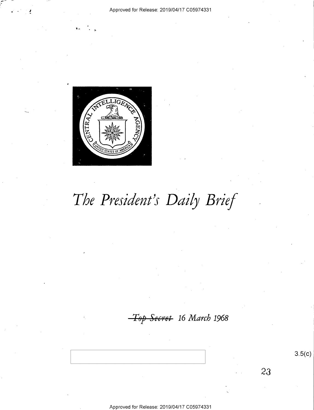

The President's Daily Brief

Top Secret 16 March 1968

 $3.5(c)$ 

23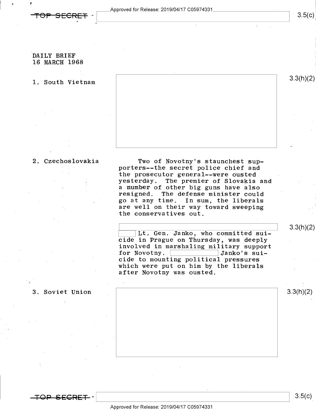pproved for Release: 2019/O4/17 CO5974331



,

 $\mathbf{r}$ 

DAILY BRIEF 16 MARCH 1968

1. South Vietnam  $3.3(h)(2)$ 

2. Czechoslovakia Two of Novotny's staunchest sup porters--the secret police chief and the prosecutor general--were ousted yesterday. The premier of Slovakia and a number of other big guns have also resigned. The defense minister could go at any time. In sum, the liberals are well on their way toward sweeping the conservatives out.

> Lack Lit. Gen. Janko, who committed sui-<br>13.3(h)(2) Cide in Prague on Thursday, was deeply involved in marshaling military support<br>for Novotny. **Figure 10** Janko's suifor Novotny.<br>cide to mounting political pressures which were put on him by the liberals after Novotny was ousted.

; . 3. Soviet Union 3.3(h)(2)

 $3.5(c)$ 

 $3.5(c)$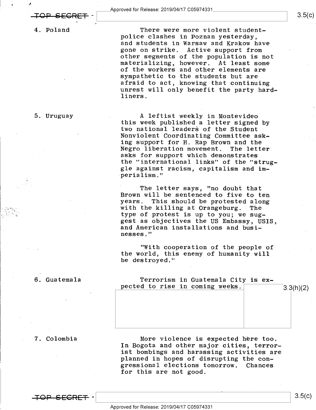4. Poland

police clashes in Poznan yesterday, There were more violent studentand students in Warsaw and Krakow have gone on strike. Active support from other segments of the population is not materializing, however. At least some of the workers and other elements are sympathetic to the students but are afraid to act, knowing that continuing unrest will only benefit the party hard-

5. Uruguay **A** leftist weekly in Montevideo<br>this week published a letter signed by two national leaders of the Student<br>Nonviolent Coordinating Committee asking support for H. Rap Brown and the Negro liberation movement. The letter asks for support which demonstrates the "international links" of the "struggle against racism, capitalism and im- -perialism."

> The letter says, "no doubt that<br>Brown will be sentenced to five to ten<br>years. This should be protested along with the killing at Orangeburg. The type of protest is up to you; we sug-<br>gest as objectives the US Embassy, USIS, and American installations and busi-<br>nesses."

"With cooperation of the people of the world, this enemy of humanity will be destroyed."

6. Guatemala Terrorism in Guatemala City is expected to rise in coming weeks.  $\frac{3.3(h)(2)}{2}$ 

7. Colombia

-tee-see-RH -\

More violence is expected here too. In Bogota and other major cities, terrorist bombings and harassing activities are planned in hopes of disrupting the con-<br>gressional elections tomorrow. Chances gressional elections tomorrow. for this are not good.

liners.

 $3.5(c)$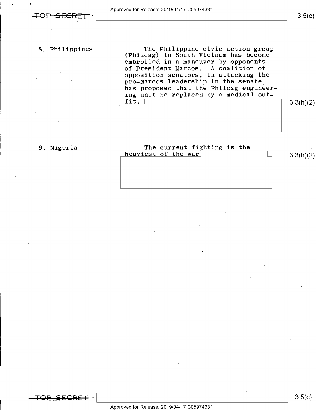'

8. Philippines The Philippine civic action group (Philcag) in South Vietnam has become embroiled in a maneuver by opponents of President Marcos. A coalition of opposition senators, in attacking the pro-Marcos leadership in the senate, has proposed that the Philcag engineering unit be replaced by a medical out-<br>fit.  $\begin{bmatrix} \texttt{fit} \end{bmatrix}$  3.3(h)(2)

### 9. Nigeria The current fighting is the  $heaviest of the war$  3.3(h)(2)

 $3.5(c)$ 

 $\vert \ \ 3.5(k) \ \ \vert$ 

.<br><del>RET</del> –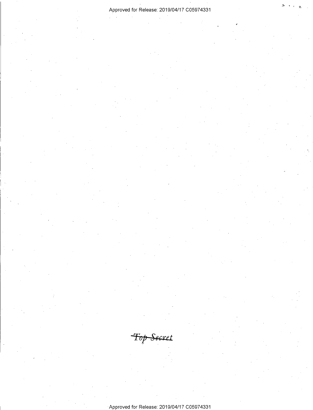## Approved for Release: 2019/04/17 C05974331

Top Secret

Approved for Release: 2019/04/17 C05974331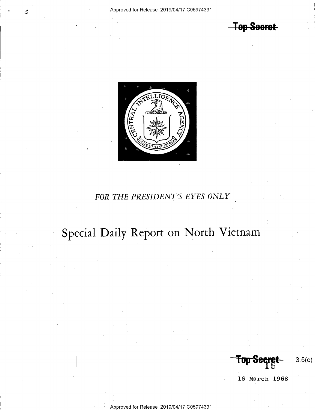**Top Secret** 



# FOR THE PRESIDENT'S EYES ONLY

# Special Daily Report on North Vietnam

**Top St**  $3.5(c)$ 

16 March 1968

- Approved for Release: 2019/O4/17 CO5974331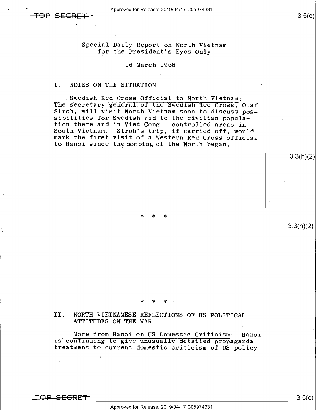a

.

3.3(h)(2)

 $3.3(h)(2)$ 

Special Daily Report on North Vietnam for the President's Eyes Only

### 16 March 1968

### I. NOTES ON THE SITUATION

Swedish Red Cross Official to North Vietnam:<br>The secretary general of the Swedish Red Cross, Olaf<br>Stroh, will visit North Vietnam soon to discuss pos-<br>sibilities for Swedish aid to the civilian popula-<br>tion there and in Vi South Vietnam. Stroh's trip, if carried off, would mark the first visit of a Western Red Cross official to Hanoi since the bombing of the North began.

\* \* \*

### >|< \* \*

II. NORTH VIETNAMESE REFLECTIONS OF US POLITICAL<br>ATTITUDES ON THE WAR

More from Hanoi on US Domestic Criticism: Hanoi<br>is continuing to give unusually detailed propaganda treatment to current domestic criticism of US policy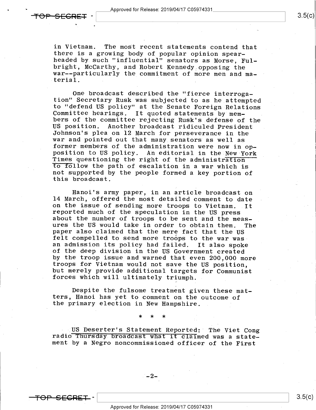u

in Vietnam. The most recent statements contend that there is a growing body of popular opinion spear-<br>headed by such "influential" senators as Morse, Ful-<br>bright, McCarthy, and Robert Kennedy opposing the war--particularly the commitment of more men and material.

One broadcast described the "fierce interroga-<br>tion" Secretary Rusk was subjected to as he attempted<br>to "defend US policy" at the Senate Foreign Relations Committee hearings. It quoted statements by mem-<br>bers of the committee rejecting Rusk's defense of the<br>US position. Another broadcast ridiculed President<br>Johnson's plea on 12 March for perseverance in the<br>war and pointed o not supported by the people formed a key portion of this broadcast.

Hanoi's army paper, in an article broadcast on<br>14 March, offered the most detailed comment to date on the issue of sending more troops to Vietnam. It<br>reported much of the speculation in the US press<br>about the number of troops to be sent and the meas-<br>ures the US would take in order to obtain them. The<br>paper also claimed of the deep division in the US Government created<br>by the troop issue and warned that even 200.000 more troops for Vietnam would not save the US position,<br>but merely provide additional targets for Communist<br>forces which will ultimately triumph.

Despite the fulsome treatment given these mat-<br>ters, Hanoi has yet to comment on the outcome of the primary election in New Hampshire.

\* \* \*

US Deserter's Statement Reported: The Viet Cong radio Thursday broadcast what it claimed was a state- ment by a Negro noncommissioned officer of the First

-2-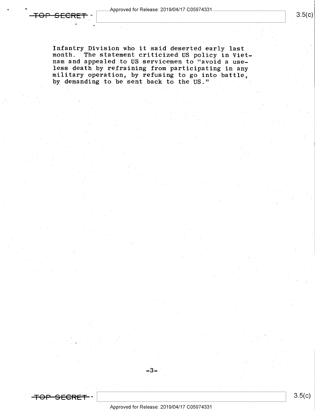. As a set of the set of the set of the set of the set of the set of the set of the set of the set of the set of the set of the set of the set of the set of the set of the set of the set of the set of the set of the set o

. -

Infantry Division who it said deserted early-1astmonth. The statement criticized US policy in Viet-<br>nam and appealed to US servicemen to "avoid a use-<br>less death by refraining from participating in any military operation, by refusing to go into battle, by demanding to be sent back to the US." 1

-3-